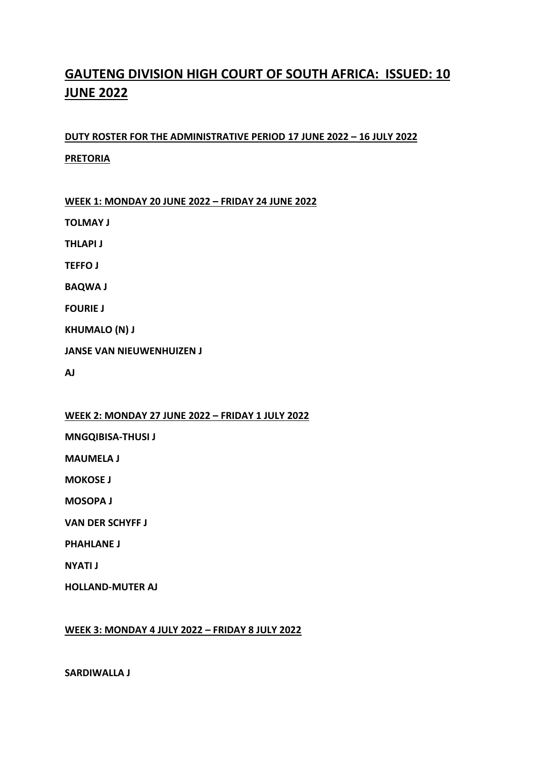# **GAUTENG DIVISION HIGH COURT OF SOUTH AFRICA: ISSUED: 10 JUNE 2022**

# **DUTY ROSTER FOR THE ADMINISTRATIVE PERIOD 17 JUNE 2022 – 16 JULY 2022 PRETORIA**

**WEEK 1: MONDAY 20 JUNE 2022 – FRIDAY 24 JUNE 2022**

**TOLMAY J**

**THLAPI J**

**TEFFO J**

**BAQWA J**

**FOURIE J**

**KHUMALO (N) J**

**JANSE VAN NIEUWENHUIZEN J**

**AJ** 

## **WEEK 2: MONDAY 27 JUNE 2022 – FRIDAY 1 JULY 2022**

**MNGQIBISA-THUSI J**

**MAUMELA J**

**MOKOSE J**

**MOSOPA J**

**VAN DER SCHYFF J**

**PHAHLANE J**

**NYATI J**

**HOLLAND-MUTER AJ**

## **WEEK 3: MONDAY 4 JULY 2022 – FRIDAY 8 JULY 2022**

**SARDIWALLA J**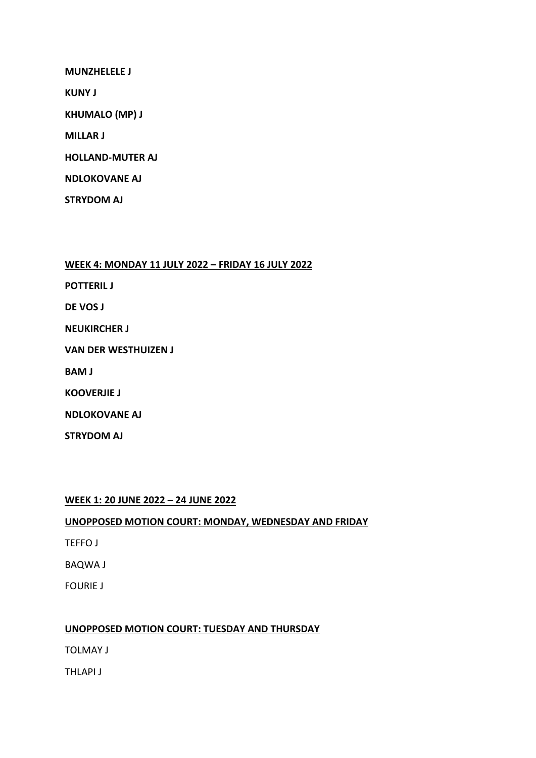**MUNZHELELE J**

**KUNY J**

**KHUMALO (MP) J**

**MILLAR J**

**HOLLAND-MUTER AJ**

**NDLOKOVANE AJ**

**STRYDOM AJ**

**WEEK 4: MONDAY 11 JULY 2022 – FRIDAY 16 JULY 2022**

**POTTERIL J**

**DE VOS J** 

**NEUKIRCHER J**

**VAN DER WESTHUIZEN J**

**BAM J**

**KOOVERJIE J**

**NDLOKOVANE AJ**

**STRYDOM AJ**

**WEEK 1: 20 JUNE 2022 – 24 JUNE 2022**

**UNOPPOSED MOTION COURT: MONDAY, WEDNESDAY AND FRIDAY**

TEFFO J

BAQWA J

FOURIE J

## **UNOPPOSED MOTION COURT: TUESDAY AND THURSDAY**

TOLMAY J

THLAPI J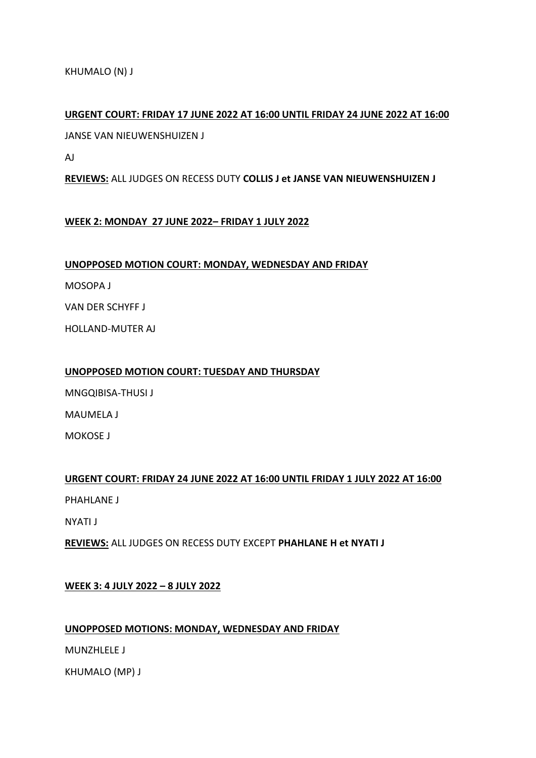KHUMALO (N) J

# **URGENT COURT: FRIDAY 17 JUNE 2022 AT 16:00 UNTIL FRIDAY 24 JUNE 2022 AT 16:00**

JANSE VAN NIEUWENSHUIZEN J

AJ

**REVIEWS:** ALL JUDGES ON RECESS DUTY **COLLIS J et JANSE VAN NIEUWENSHUIZEN J**

# **WEEK 2: MONDAY 27 JUNE 2022– FRIDAY 1 JULY 2022**

**UNOPPOSED MOTION COURT: MONDAY, WEDNESDAY AND FRIDAY**

MOSOPA J

VAN DER SCHYFF J

HOLLAND-MUTER AJ

## **UNOPPOSED MOTION COURT: TUESDAY AND THURSDAY**

MNGQIBISA-THUSI J

MAUMELA J

MOKOSE J

# **URGENT COURT: FRIDAY 24 JUNE 2022 AT 16:00 UNTIL FRIDAY 1 JULY 2022 AT 16:00**

PHAHLANE J

NYATI J

**REVIEWS:** ALL JUDGES ON RECESS DUTY EXCEPT **PHAHLANE H et NYATI J**

# **WEEK 3: 4 JULY 2022 – 8 JULY 2022**

## **UNOPPOSED MOTIONS: MONDAY, WEDNESDAY AND FRIDAY**

MUNZHLELE J

KHUMALO (MP) J